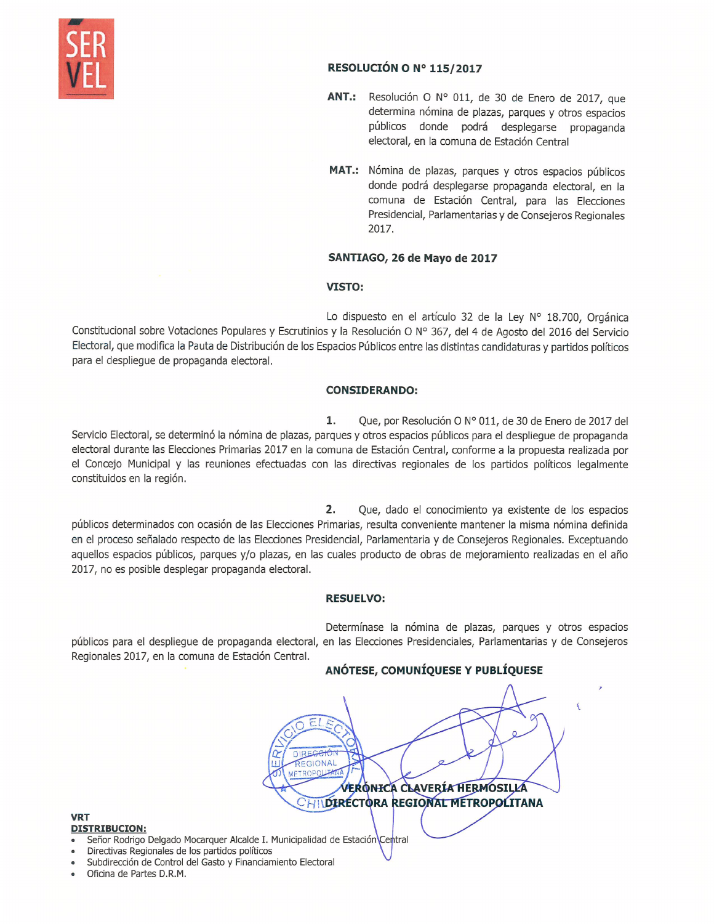

## RESOLUCIÓN O Nº 115/2017

- Resolución O Nº 011, de 30 de Enero de 2017, que ANT.: determina nómina de plazas, parques y otros espacios públicos donde podrá desplegarse propaganda electoral, en la comuna de Estación Central
- MAT.: Nómina de plazas, parques y otros espacios públicos donde podrá desplegarse propaganda electoral, en la comuna de Estación Central, para las Elecciones Presidencial, Parlamentarias y de Consejeros Regionales 2017.

# SANTIAGO, 26 de Mayo de 2017

# VISTO:

Lo dispuesto en el artículo 32 de la Ley N° 18.700, Orgánica Constitucional sobre Votaciones Populares y Escrutinios y la Resolución O Nº 367, del 4 de Agosto del 2016 del Servicio Electoral, que modifica la Pauta de Distribución de los Espacios Públicos entre las distintas candidaturas y partidos políticos para el despliegue de propaganda electoral.

## **CONSIDERANDO:**

1. Que, por Resolución O Nº 011, de 30 de Enero de 2017 del Servicio Electoral, se determinó la nómina de plazas, parques y otros espacios públicos para el despliegue de propaganda electoral durante las Elecciones Primarias 2017 en la comuna de Estación Central, conforme a la propuesta realizada por el Concejo Municipal y las reuniones efectuadas con las directivas regionales de los partidos políticos legalmente constituidos en la región.

2. Que, dado el conocimiento ya existente de los espacios públicos determinados con ocasión de las Elecciones Primarias, resulta conveniente mantener la misma nómina definida en el proceso señalado respecto de las Elecciones Presidencial, Parlamentaria y de Consejeros Regionales. Exceptuando aquellos espacios públicos, parques y/o plazas, en las cuales producto de obras de mejoramiento realizadas en el año 2017, no es posible desplegar propaganda electoral.

## **RESUELVO:**

Determínase la nómina de plazas, parques y otros espacios públicos para el despliegue de propaganda electoral, en las Elecciones Presidenciales, Parlamentarias y de Consejeros Regionales 2017, en la comuna de Estación Central.

> GIONAL **WETROPO**

# ANÓTESE, COMUNÍQUESE Y PUBLÍQUESE

**ERÓNICA CLAVERÍA HERMOSILLA** HIDIRECTORA REGIONAL METROPOLITANA

### **VRT DISTRIBUCION:**

- Señor Rodrigo Delgado Mocarquer Alcalde I. Municipalidad de Estación Central
- Directivas Regionales de los partidos políticos
- Subdirección de Control del Gasto y Financiamiento Electoral
- Oficina de Partes D.R.M.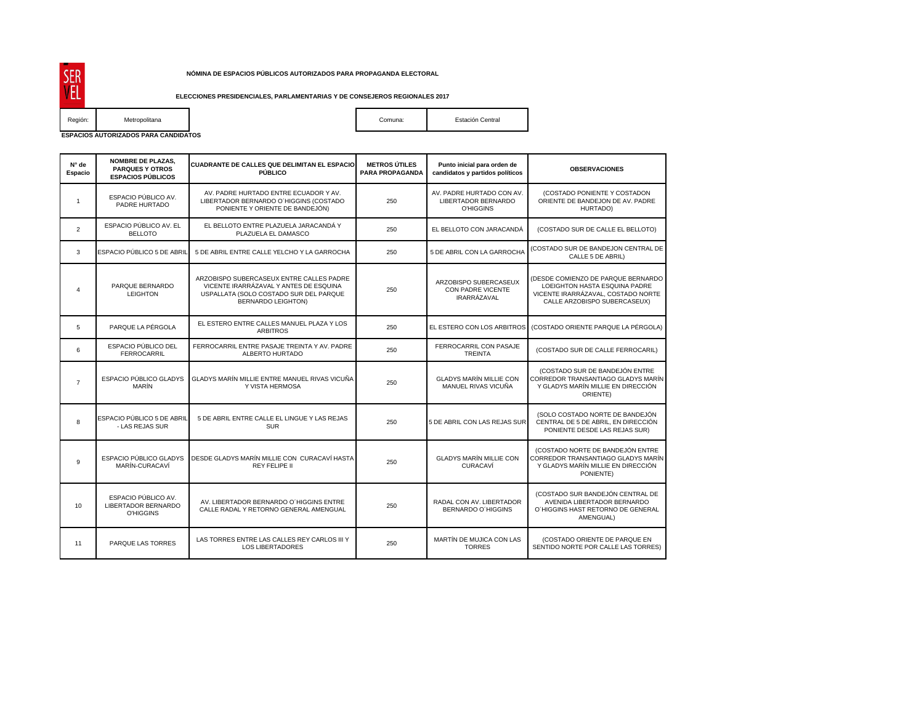#### **NÓMINA DE ESPACIOS PÚBLICOS AUTORIZADOS PARA PROPAGANDA ELECTORAL**

#### **ELECCIONES PRESIDENCIALES, PARLAMENTARIAS Y DE CONSEJEROS REGIONALES 2017**

SER<br>VEL Región: Metropolitana comuna: Estación Central Comuna: Estación Central

**ESPACIOS AUTORIZADOS PARA CANDIDATOS** 

| N° de<br>Espacio | <b>NOMBRE DE PLAZAS,</b><br><b>PARQUES Y OTROS</b><br><b>ESPACIOS PÚBLICOS</b> | <b>CUADRANTE DE CALLES QUE DELIMITAN EL ESPACIO</b><br>PÚBLICO                                                                                            | <b>METROS ÚTILES</b><br>PARA PROPAGANDA | Punto inicial para orden de<br>candidatos y partidos políticos       | <b>OBSERVACIONES</b>                                                                                                                      |
|------------------|--------------------------------------------------------------------------------|-----------------------------------------------------------------------------------------------------------------------------------------------------------|-----------------------------------------|----------------------------------------------------------------------|-------------------------------------------------------------------------------------------------------------------------------------------|
| $\mathbf{1}$     | ESPACIO PÚBLICO AV.<br>PADRE HURTADO                                           | AV. PADRE HURTADO ENTRE ECUADOR Y AV.<br>LIBERTADOR BERNARDO O'HIGGINS (COSTADO<br>PONIENTE Y ORIENTE DE BANDEJÓN)                                        | 250                                     | AV. PADRE HURTADO CON AV.<br>LIBERTADOR BERNARDO<br><b>O'HIGGINS</b> | (COSTADO PONIENTE Y COSTADON<br>ORIENTE DE BANDEJON DE AV. PADRE<br>HURTADO)                                                              |
| $\overline{2}$   | ESPACIO PÚBLICO AV. EL<br><b>BELLOTO</b>                                       | EL BELLOTO ENTRE PLAZUELA JARACANDÁ Y<br>PLAZUELA EL DAMASCO                                                                                              | 250                                     | EL BELLOTO CON JARACANDÁ                                             | (COSTADO SUR DE CALLE EL BELLOTO)                                                                                                         |
| 3                | ESPACIO PÚBLICO 5 DE ABRIL                                                     | 5 DE ABRIL ENTRE CALLE YELCHO Y LA GARROCHA                                                                                                               | 250                                     | 5 DE ABRIL CON LA GARROCHA                                           | (COSTADO SUR DE BANDEJON CENTRAL DE<br>CALLE 5 DE ABRIL)                                                                                  |
| $\overline{4}$   | PARQUE BERNARDO<br><b>LEIGHTON</b>                                             | ARZOBISPO SUBERCASEUX ENTRE CALLES PADRE<br>VICENTE IRARRÁZAVAL Y ANTES DE ESQUINA<br>USPALLATA (SOLO COSTADO SUR DEL PARQUE<br><b>BERNARDO LEIGHTON)</b> | 250                                     | ARZOBISPO SUBERCASEUX<br>CON PADRE VICENTE<br><b>IRARRÁZAVAL</b>     | (DESDE COMIENZO DE PARQUE BERNARDO<br>LOEIGHTON HASTA ESQUINA PADRE<br>VICENTE IRARRÁZAVAL, COSTADO NORTE<br>CALLE ARZOBISPO SUBERCASEUX) |
| 5                | PARQUE LA PÉRGOLA                                                              | EL ESTERO ENTRE CALLES MANUEL PLAZA Y LOS<br><b>ARBITROS</b>                                                                                              | 250                                     | EL ESTERO CON LOS ARBITROS                                           | (COSTADO ORIENTE PARQUE LA PÉRGOLA)                                                                                                       |
| 6                | ESPACIO PÚBLICO DEL<br><b>FERROCARRIL</b>                                      | FERROCARRIL ENTRE PASAJE TREINTA Y AV. PADRE<br>ALBERTO HURTADO                                                                                           | 250                                     | FERROCARRIL CON PASAJE<br><b>TREINTA</b>                             | (COSTADO SUR DE CALLE FERROCARIL)                                                                                                         |
| $\overline{7}$   | ESPACIO PÚBLICO GLADYS<br><b>MARÍN</b>                                         | GLADYS MARÍN MILLIE ENTRE MANUEL RIVAS VICUÑA<br>Y VISTA HERMOSA                                                                                          | 250                                     | <b>GLADYS MARÍN MILLIE CON</b><br>MANUEL RIVAS VICUÑA                | (COSTADO SUR DE BANDEJÓN ENTRE<br>CORREDOR TRANSANTIAGO GLADYS MARÍN<br>Y GLADYS MARÍN MILLIE EN DIRECCIÓN<br>ORIENTE)                    |
| 8                | ESPACIO PÚBLICO 5 DE ABRIL<br>- LAS REJAS SUR                                  | 5 DE ABRIL ENTRE CALLE EL LINGUE Y LAS REJAS<br><b>SUR</b>                                                                                                | 250                                     | 5 DE ABRIL CON LAS REJAS SUR                                         | (SOLO COSTADO NORTE DE BANDEJÓN<br>CENTRAL DE 5 DE ABRIL, EN DIRECCIÓN<br>PONIENTE DESDE LAS REJAS SUR)                                   |
| 9                | ESPACIO PÚBLICO GLADYS<br>MARÍN-CURACAVÍ                                       | DESDE GLADYS MARÍN MILLIE CON CURACAVÍ HASTA<br>REY FELIPE II                                                                                             | 250                                     | <b>GLADYS MARÍN MILLIE CON</b><br>CURACAVÍ                           | (COSTADO NORTE DE BANDEJÓN ENTRE<br>CORREDOR TRANSANTIAGO GLADYS MARÍN<br>Y GLADYS MARÍN MILLIE EN DIRECCIÓN<br>PONIENTE)                 |
| 10               | ESPACIO PÚBLICO AV.<br>LIBERTADOR BERNARDO<br><b>O'HIGGINS</b>                 | AV. LIBERTADOR BERNARDO O'HIGGINS ENTRE<br>CALLE RADAL Y RETORNO GENERAL AMENGUAL                                                                         | 250                                     | RADAL CON AV. LIBERTADOR<br><b>BERNARDO O'HIGGINS</b>                | (COSTADO SUR BANDEJÓN CENTRAL DE<br>AVENIDA LIBERTADOR BERNARDO<br>O'HIGGINS HAST RETORNO DE GENERAL<br>AMENGUAL)                         |
| 11               | PARQUE LAS TORRES                                                              | LAS TORRES ENTRE LAS CALLES REY CARLOS III Y<br><b>LOS LIBERTADORES</b>                                                                                   | 250                                     | MARTÍN DE MUJICA CON LAS<br><b>TORRES</b>                            | (COSTADO ORIENTE DE PARQUE EN<br>SENTIDO NORTE POR CALLE LAS TORRES)                                                                      |